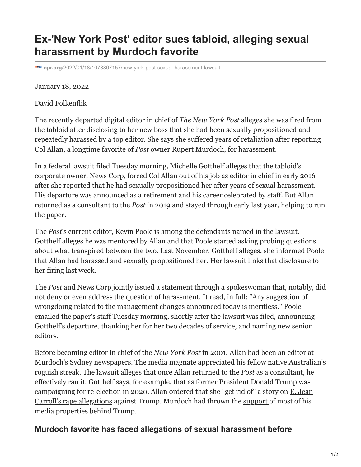# **Ex-'New York Post' editor sues tabloid, alleging sexual harassment by Murdoch favorite**

**npr.org**[/2022/01/18/1073807157/new-york-post-sexual-harassment-lawsuit](https://www.npr.org/2022/01/18/1073807157/new-york-post-sexual-harassment-lawsuit)

#### January 18, 2022

#### [David Folkenflik](https://www.npr.org/people/4459112/david-folkenflik)

The recently departed digital editor in chief of *The New York Post* alleges she was fired from the tabloid after disclosing to her new boss that she had been sexually propositioned and repeatedly harassed by a top editor. She says she suffered years of retaliation after reporting Col Allan, a longtime favorite of *Post* owner Rupert Murdoch, for harassment.

In a federal lawsuit filed Tuesday morning, Michelle Gotthelf alleges that the tabloid's corporate owner, News Corp, forced Col Allan out of his job as editor in chief in early 2016 after she reported that he had sexually propositioned her after years of sexual harassment. His departure was announced as a retirement and his career celebrated by staff. But Allan returned as a consultant to the *Post* in 2019 and stayed through early last year, helping to run the paper.

The *Post*'s current editor, Kevin Poole is among the defendants named in the lawsuit. Gotthelf alleges he was mentored by Allan and that Poole started asking probing questions about what transpired between the two. Last November, Gotthelf alleges, she informed Poole that Allan had harassed and sexually propositioned her. Her lawsuit links that disclosure to her firing last week.

The *Post* and News Corp jointly issued a statement through a spokeswoman that, notably, did not deny or even address the question of harassment. It read, in full: "Any suggestion of wrongdoing related to the management changes announced today is meritless." Poole emailed the paper's staff Tuesday morning, shortly after the lawsuit was filed, announcing Gotthelf's departure, thanking her for her two decades of service, and naming new senior editors.

Before becoming editor in chief of the *New York Post* in 2001, Allan had been an editor at Murdoch's Sydney newspapers. The media magnate appreciated his fellow native Australian's roguish streak. The lawsuit alleges that once Allan returned to the *Post* as a consultant, he effectively ran it. Gotthelf says, for example, that as former President Donald Trump was campaigning for re-election in 2020, Allan ordered that she "get rid of" a story on  $E$ . Jean Carroll's rape allegations against Trump. Murdoch had thrown the [support o](https://www.npr.org/2020/11/07/932203022/as-trumps-chances-fade-murdoch-s-fox-news-faces-wrath-and-tough-choices)f most of his media properties behind Trump.

### **Murdoch favorite has faced allegations of sexual harassment before**